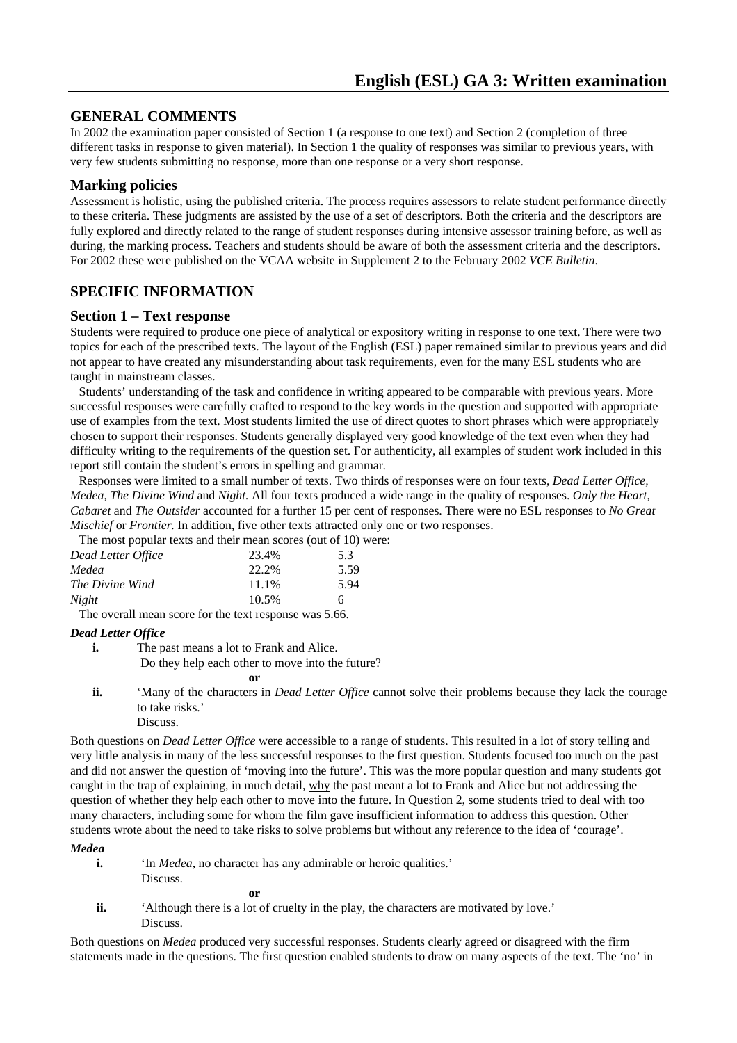# **GENERAL COMMENTS**

In 2002 the examination paper consisted of Section 1 (a response to one text) and Section 2 (completion of three different tasks in response to given material). In Section 1 the quality of responses was similar to previous years, with very few students submitting no response, more than one response or a very short response.

## **Marking policies**

Assessment is holistic, using the published criteria. The process requires assessors to relate student performance directly to these criteria. These judgments are assisted by the use of a set of descriptors. Both the criteria and the descriptors are fully explored and directly related to the range of student responses during intensive assessor training before, as well as during, the marking process. Teachers and students should be aware of both the assessment criteria and the descriptors. For 2002 these were published on the VCAA website in Supplement 2 to the February 2002 *VCE Bulletin*.

# **SPECIFIC INFORMATION**

## **Section 1 – Text response**

Students were required to produce one piece of analytical or expository writing in response to one text. There were two topics for each of the prescribed texts. The layout of the English (ESL) paper remained similar to previous years and did not appear to have created any misunderstanding about task requirements, even for the many ESL students who are taught in mainstream classes.

Students' understanding of the task and confidence in writing appeared to be comparable with previous years. More successful responses were carefully crafted to respond to the key words in the question and supported with appropriate use of examples from the text. Most students limited the use of direct quotes to short phrases which were appropriately chosen to support their responses. Students generally displayed very good knowledge of the text even when they had difficulty writing to the requirements of the question set. For authenticity, all examples of student work included in this report still contain the student's errors in spelling and grammar.

Responses were limited to a small number of texts. Two thirds of responses were on four texts, *Dead Letter Office, Medea, The Divine Wind* and *Night.* All four texts produced a wide range in the quality of responses. *Only the Heart, Cabaret* and *The Outsider* accounted for a further 15 per cent of responses. There were no ESL responses to *No Great Mischief or Frontier.* In addition, five other texts attracted only one or two responses.

The most popular texts and their mean scores (out of 10) were:

| Dead Letter Office |  | 23.4% | 5.3  |
|--------------------|--|-------|------|
| Medea              |  | 22.2% | 5.59 |
| The Divine Wind    |  | 11.1% | 5.94 |
| Night              |  | 10.5% | 6.   |
|                    |  |       |      |

The overall mean score for the text response was 5.66.

## *Dead Letter Office*

**i.** The past means a lot to Frank and Alice.

- Do they help each other to move into the future?
	- **or**
- **ii.** 'Many of the characters in *Dead Letter Office* cannot solve their problems because they lack the courage to take risks.'
	- Discuss.

Both questions on *Dead Letter Office* were accessible to a range of students. This resulted in a lot of story telling and very little analysis in many of the less successful responses to the first question. Students focused too much on the past and did not answer the question of 'moving into the future'. This was the more popular question and many students got caught in the trap of explaining, in much detail, why the past meant a lot to Frank and Alice but not addressing the question of whether they help each other to move into the future. In Question 2, some students tried to deal with too many characters, including some for whom the film gave insufficient information to address this question. Other students wrote about the need to take risks to solve problems but without any reference to the idea of 'courage'.

*Medea* 

**i.** 'In *Medea*, no character has any admirable or heroic qualities.' Discuss.

**or** 

**ii.** 'Although there is a lot of cruelty in the play, the characters are motivated by love.' Discuss.

Both questions on *Medea* produced very successful responses. Students clearly agreed or disagreed with the firm statements made in the questions. The first question enabled students to draw on many aspects of the text. The 'no' in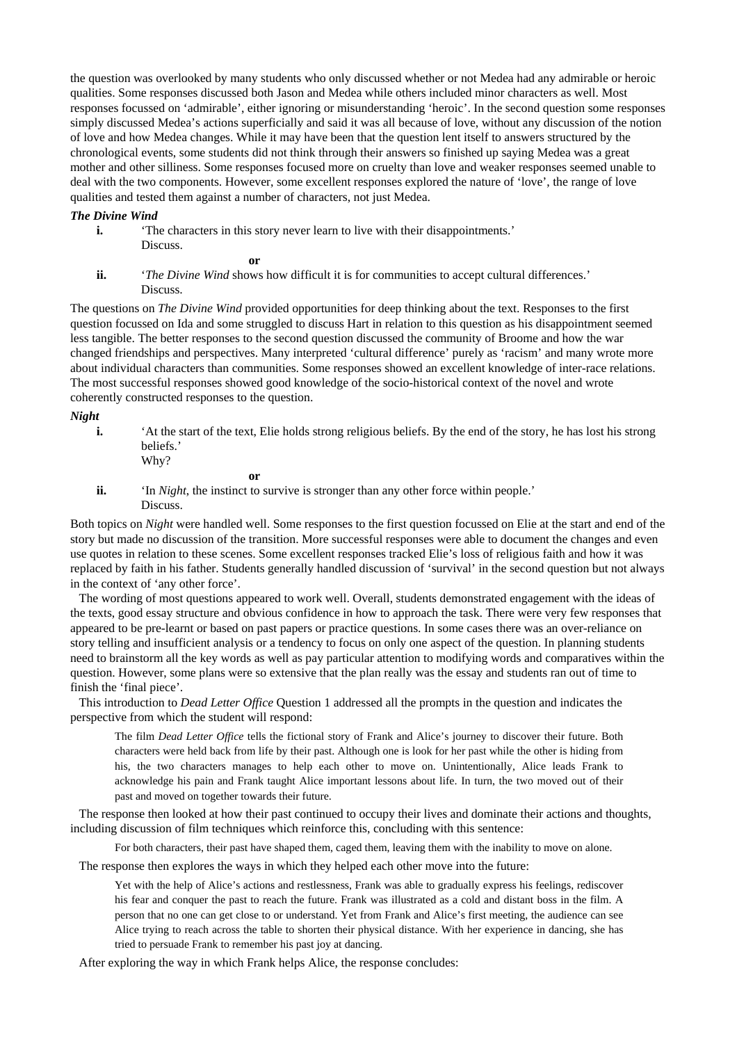the question was overlooked by many students who only discussed whether or not Medea had any admirable or heroic qualities. Some responses discussed both Jason and Medea while others included minor characters as well. Most responses focussed on 'admirable', either ignoring or misunderstanding 'heroic'. In the second question some responses simply discussed Medea's actions superficially and said it was all because of love, without any discussion of the notion of love and how Medea changes. While it may have been that the question lent itself to answers structured by the chronological events, some students did not think through their answers so finished up saying Medea was a great mother and other silliness. Some responses focused more on cruelty than love and weaker responses seemed unable to deal with the two components. However, some excellent responses explored the nature of 'love', the range of love qualities and tested them against a number of characters, not just Medea.

#### *The Divine Wind*

**i.** 'The characters in this story never learn to live with their disappointments.' Discuss.

**or** 

**ii.** '*The Divine Wind* shows how difficult it is for communities to accept cultural differences.' Discuss.

The questions on *The Divine Wind* provided opportunities for deep thinking about the text. Responses to the first question focussed on Ida and some struggled to discuss Hart in relation to this question as his disappointment seemed less tangible. The better responses to the second question discussed the community of Broome and how the war changed friendships and perspectives. Many interpreted 'cultural difference' purely as 'racism' and many wrote more about individual characters than communities. Some responses showed an excellent knowledge of inter-race relations. The most successful responses showed good knowledge of the socio-historical context of the novel and wrote coherently constructed responses to the question.

*Night* 

- **i.** 'At the start of the text, Elie holds strong religious beliefs. By the end of the story, he has lost his strong beliefs.'
	- Why?

**or** 

**ii.** 'In *Night*, the instinct to survive is stronger than any other force within people.' Discuss.

Both topics on *Night* were handled well. Some responses to the first question focussed on Elie at the start and end of the story but made no discussion of the transition. More successful responses were able to document the changes and even use quotes in relation to these scenes. Some excellent responses tracked Elie's loss of religious faith and how it was replaced by faith in his father. Students generally handled discussion of 'survival' in the second question but not always in the context of 'any other force'.

The wording of most questions appeared to work well. Overall, students demonstrated engagement with the ideas of the texts, good essay structure and obvious confidence in how to approach the task. There were very few responses that appeared to be pre-learnt or based on past papers or practice questions. In some cases there was an over-reliance on story telling and insufficient analysis or a tendency to focus on only one aspect of the question. In planning students need to brainstorm all the key words as well as pay particular attention to modifying words and comparatives within the question. However, some plans were so extensive that the plan really was the essay and students ran out of time to finish the 'final piece'.

This introduction to *Dead Letter Office* Question 1 addressed all the prompts in the question and indicates the perspective from which the student will respond:

The film *Dead Letter Office* tells the fictional story of Frank and Alice's journey to discover their future. Both characters were held back from life by their past. Although one is look for her past while the other is hiding from his, the two characters manages to help each other to move on. Unintentionally, Alice leads Frank to acknowledge his pain and Frank taught Alice important lessons about life. In turn, the two moved out of their past and moved on together towards their future.

The response then looked at how their past continued to occupy their lives and dominate their actions and thoughts, including discussion of film techniques which reinforce this, concluding with this sentence:

For both characters, their past have shaped them, caged them, leaving them with the inability to move on alone.

The response then explores the ways in which they helped each other move into the future:

Yet with the help of Alice's actions and restlessness, Frank was able to gradually express his feelings, rediscover his fear and conquer the past to reach the future. Frank was illustrated as a cold and distant boss in the film. A person that no one can get close to or understand. Yet from Frank and Alice's first meeting, the audience can see Alice trying to reach across the table to shorten their physical distance. With her experience in dancing, she has tried to persuade Frank to remember his past joy at dancing.

After exploring the way in which Frank helps Alice, the response concludes: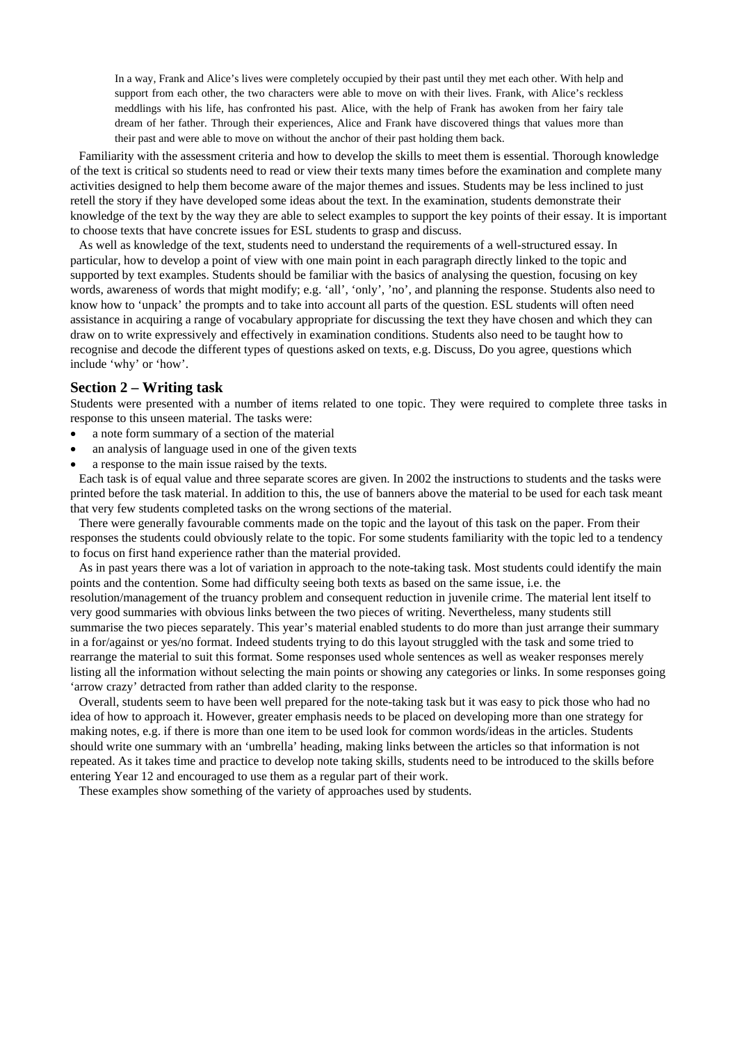In a way, Frank and Alice's lives were completely occupied by their past until they met each other. With help and support from each other, the two characters were able to move on with their lives. Frank, with Alice's reckless meddlings with his life, has confronted his past. Alice, with the help of Frank has awoken from her fairy tale dream of her father. Through their experiences, Alice and Frank have discovered things that values more than their past and were able to move on without the anchor of their past holding them back.

Familiarity with the assessment criteria and how to develop the skills to meet them is essential. Thorough knowledge of the text is critical so students need to read or view their texts many times before the examination and complete many activities designed to help them become aware of the major themes and issues. Students may be less inclined to just retell the story if they have developed some ideas about the text. In the examination, students demonstrate their knowledge of the text by the way they are able to select examples to support the key points of their essay. It is important to choose texts that have concrete issues for ESL students to grasp and discuss.

As well as knowledge of the text, students need to understand the requirements of a well-structured essay. In particular, how to develop a point of view with one main point in each paragraph directly linked to the topic and supported by text examples. Students should be familiar with the basics of analysing the question, focusing on key words, awareness of words that might modify; e.g. 'all', 'only', 'no', and planning the response. Students also need to know how to 'unpack' the prompts and to take into account all parts of the question. ESL students will often need assistance in acquiring a range of vocabulary appropriate for discussing the text they have chosen and which they can draw on to write expressively and effectively in examination conditions. Students also need to be taught how to recognise and decode the different types of questions asked on texts, e.g. Discuss, Do you agree, questions which include 'why' or 'how'.

## **Section 2 – Writing task**

Students were presented with a number of items related to one topic. They were required to complete three tasks in response to this unseen material. The tasks were:

- a note form summary of a section of the material
- an analysis of language used in one of the given texts
- a response to the main issue raised by the texts.

Each task is of equal value and three separate scores are given. In 2002 the instructions to students and the tasks were printed before the task material. In addition to this, the use of banners above the material to be used for each task meant that very few students completed tasks on the wrong sections of the material.

There were generally favourable comments made on the topic and the layout of this task on the paper. From their responses the students could obviously relate to the topic. For some students familiarity with the topic led to a tendency to focus on first hand experience rather than the material provided.

As in past years there was a lot of variation in approach to the note-taking task. Most students could identify the main points and the contention. Some had difficulty seeing both texts as based on the same issue, i.e. the resolution/management of the truancy problem and consequent reduction in juvenile crime. The material lent itself to very good summaries with obvious links between the two pieces of writing. Nevertheless, many students still summarise the two pieces separately. This year's material enabled students to do more than just arrange their summary in a for/against or yes/no format. Indeed students trying to do this layout struggled with the task and some tried to rearrange the material to suit this format. Some responses used whole sentences as well as weaker responses merely listing all the information without selecting the main points or showing any categories or links. In some responses going 'arrow crazy' detracted from rather than added clarity to the response.

Overall, students seem to have been well prepared for the note-taking task but it was easy to pick those who had no idea of how to approach it. However, greater emphasis needs to be placed on developing more than one strategy for making notes, e.g. if there is more than one item to be used look for common words/ideas in the articles. Students should write one summary with an 'umbrella' heading, making links between the articles so that information is not repeated. As it takes time and practice to develop note taking skills, students need to be introduced to the skills before entering Year 12 and encouraged to use them as a regular part of their work.

These examples show something of the variety of approaches used by students.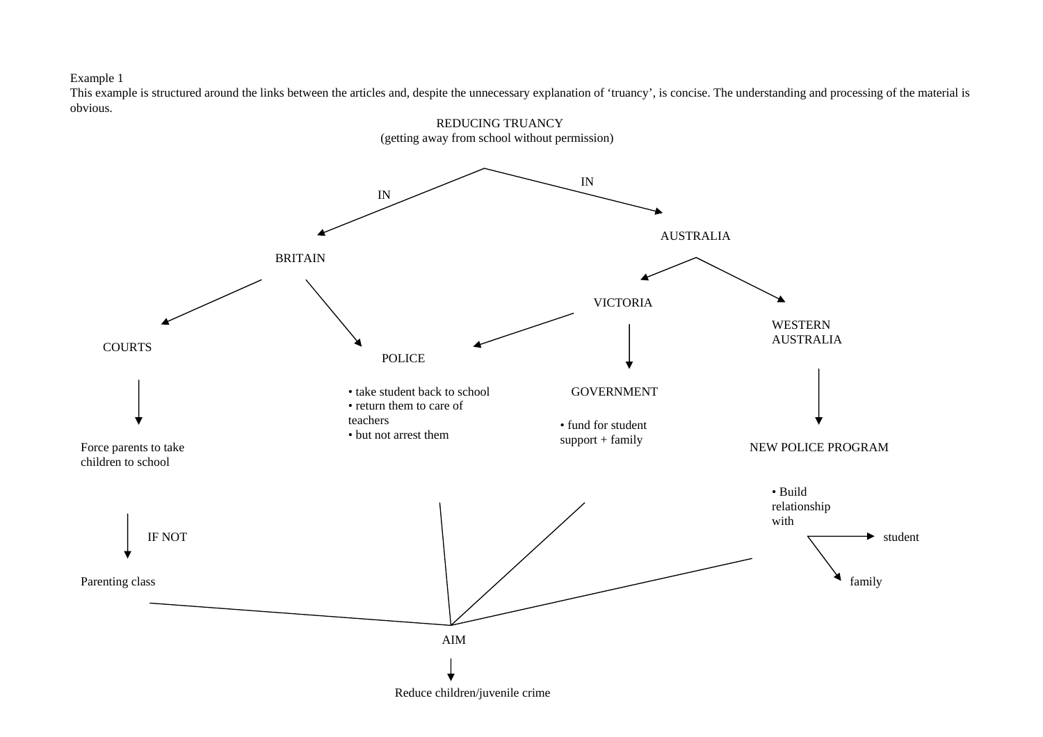This example is structured around the links between the articles and, despite the unnecessary explanation of 'truancy', is concise. The understanding and processing of the material is obvious.

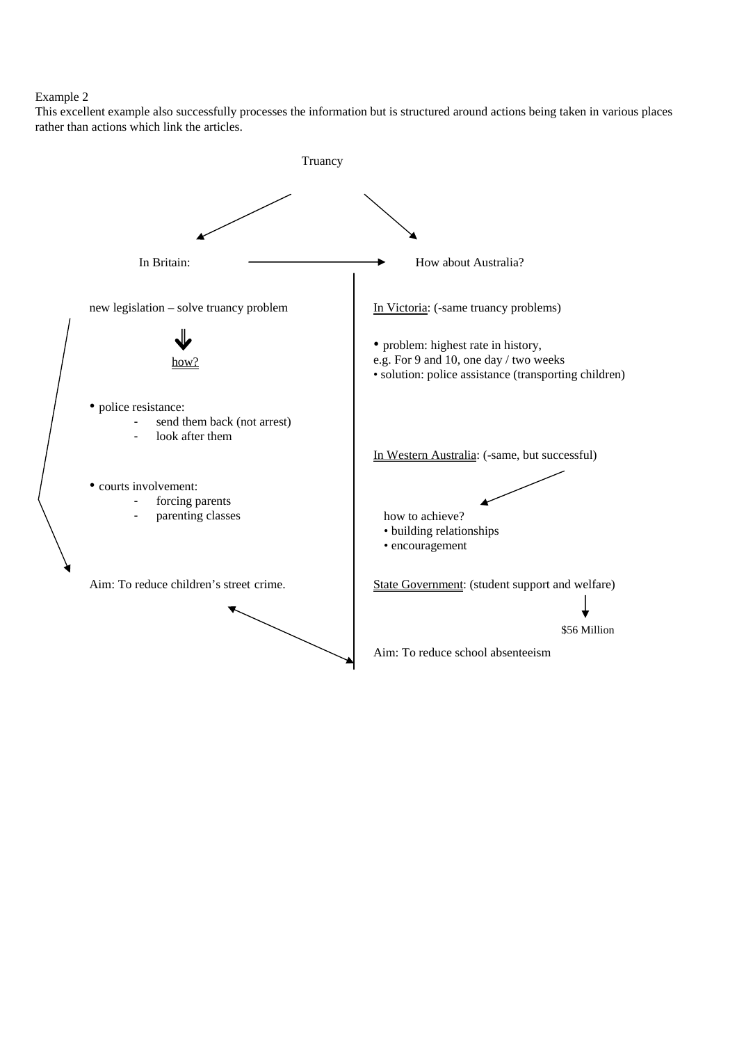This excellent example also successfully processes the information but is structured around actions being taken in various places rather than actions which link the articles.

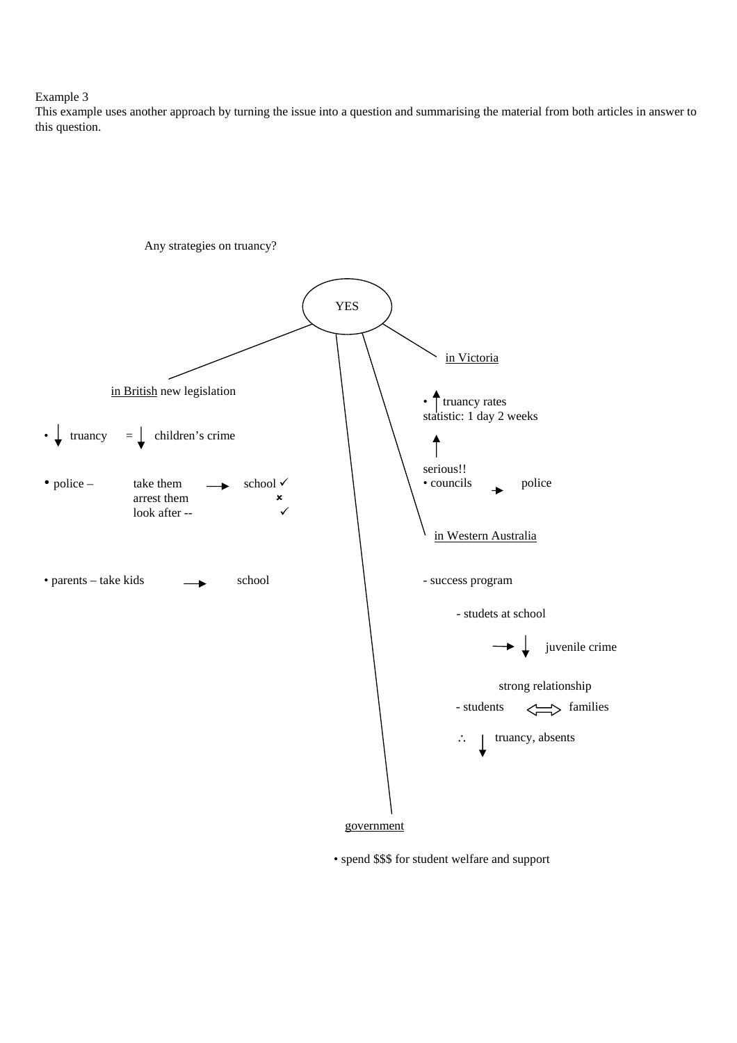This example uses another approach by turning the issue into a question and summarising the material from both articles in answer to this question.



• spend \$\$\$ for student welfare and support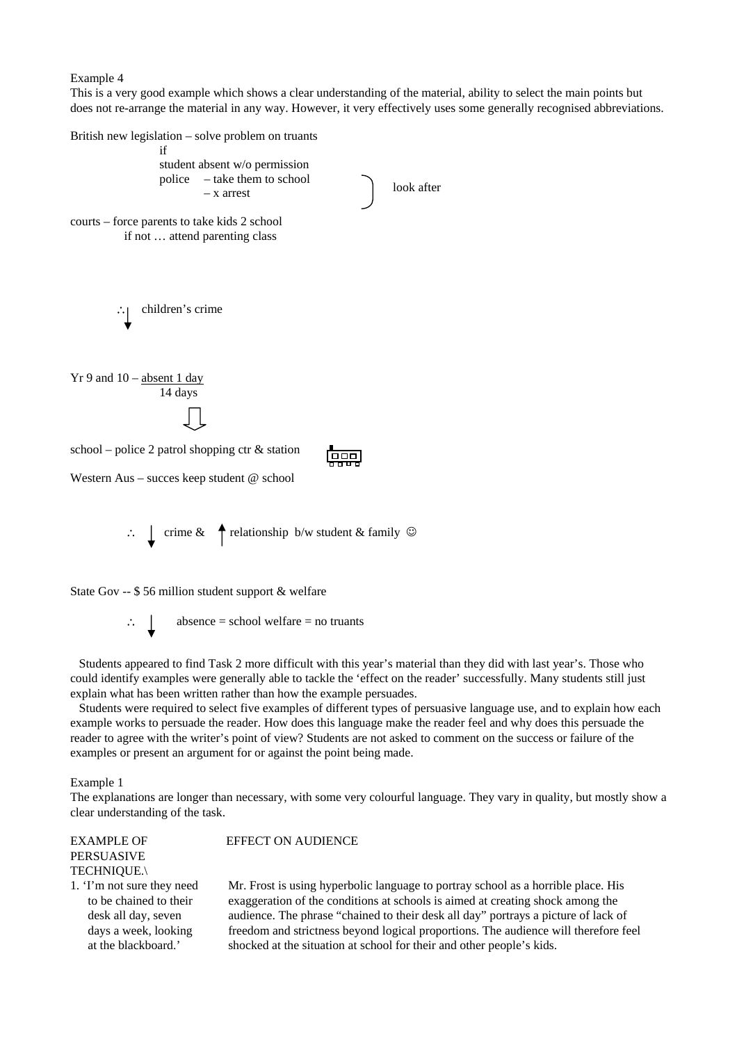This is a very good example which shows a clear understanding of the material, ability to select the main points but does not re-arrange the material in any way. However, it very effectively uses some generally recognised abbreviations.

British new legislation – solve problem on truants if student absent w/o permission police – take them to school look after – x arrest courts – force parents to take kids 2 school if not … attend parenting class ∴ children's crime  $Yr$  9 and 10 – absent 1 day 14 days school – police 2 patrol shopping ctr  $\&$  station يبيبيا Western Aus – succes keep student @ school ∴  $\text{C}$  crime &  $\uparrow$  relationship b/w student & family  $\textcircled{}$ State Gov -- \$ 56 million student support & welfare

 $\therefore$  absence = school welfare = no truants

Students appeared to find Task 2 more difficult with this year's material than they did with last year's. Those who could identify examples were generally able to tackle the 'effect on the reader' successfully. Many students still just explain what has been written rather than how the example persuades.

Students were required to select five examples of different types of persuasive language use, and to explain how each example works to persuade the reader. How does this language make the reader feel and why does this persuade the reader to agree with the writer's point of view? Students are not asked to comment on the success or failure of the examples or present an argument for or against the point being made.

#### Example 1

The explanations are longer than necessary, with some very colourful language. They vary in quality, but mostly show a clear understanding of the task.

# EXAMPLE OF PERSUASIVE

EFFECT ON AUDIENCE

TECHNIQUE.\

1. 'I'm not sure they need to be chained to their desk all day, seven days a week, looking at the blackboard.'

Mr. Frost is using hyperbolic language to portray school as a horrible place. His exaggeration of the conditions at schools is aimed at creating shock among the audience. The phrase "chained to their desk all day" portrays a picture of lack of freedom and strictness beyond logical proportions. The audience will therefore feel shocked at the situation at school for their and other people's kids.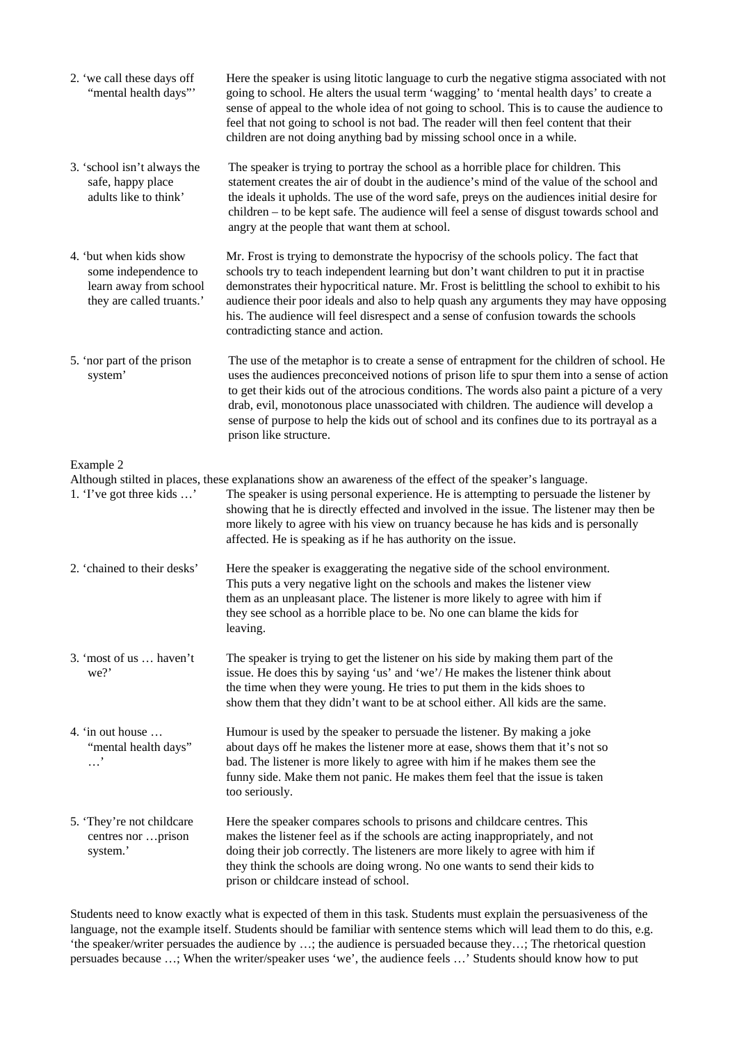| 2. 'we call these days off<br>"mental health days"                                                    | Here the speaker is using litotic language to curb the negative stigma associated with not<br>going to school. He alters the usual term 'wagging' to 'mental health days' to create a<br>sense of appeal to the whole idea of not going to school. This is to cause the audience to<br>feel that not going to school is not bad. The reader will then feel content that their<br>children are not doing anything bad by missing school once in a while.                                                |
|-------------------------------------------------------------------------------------------------------|--------------------------------------------------------------------------------------------------------------------------------------------------------------------------------------------------------------------------------------------------------------------------------------------------------------------------------------------------------------------------------------------------------------------------------------------------------------------------------------------------------|
| 3. 'school isn't always the<br>safe, happy place<br>adults like to think'                             | The speaker is trying to portray the school as a horrible place for children. This<br>statement creates the air of doubt in the audience's mind of the value of the school and<br>the ideals it upholds. The use of the word safe, preys on the audiences initial desire for<br>children - to be kept safe. The audience will feel a sense of disgust towards school and<br>angry at the people that want them at school.                                                                              |
| 4. 'but when kids show<br>some independence to<br>learn away from school<br>they are called truants.' | Mr. Frost is trying to demonstrate the hypocrisy of the schools policy. The fact that<br>schools try to teach independent learning but don't want children to put it in practise<br>demonstrates their hypocritical nature. Mr. Frost is belittling the school to exhibit to his<br>audience their poor ideals and also to help quash any arguments they may have opposing<br>his. The audience will feel disrespect and a sense of confusion towards the schools<br>contradicting stance and action.  |
| 5. 'nor part of the prison<br>system'                                                                 | The use of the metaphor is to create a sense of entrapment for the children of school. He<br>uses the audiences preconceived notions of prison life to spur them into a sense of action<br>to get their kids out of the atrocious conditions. The words also paint a picture of a very<br>drab, evil, monotonous place unassociated with children. The audience will develop a<br>sense of purpose to help the kids out of school and its confines due to its portrayal as a<br>prison like structure. |
| Example 2                                                                                             |                                                                                                                                                                                                                                                                                                                                                                                                                                                                                                        |
| 1. The got three kids '                                                                               | Although stilted in places, these explanations show an awareness of the effect of the speaker's language.<br>The speaker is using personal experience. He is attempting to persuade the listener by<br>showing that he is directly effected and involved in the issue. The listener may then be<br>more likely to agree with his view on truancy because he has kids and is personally<br>affected. He is speaking as if he has authority on the issue.                                                |
| 2. 'chained to their desks'                                                                           | Here the speaker is exaggerating the negative side of the school environment.<br>This puts a very negative light on the schools and makes the listener view<br>them as an unpleasant place. The listener is more likely to agree with him if<br>they see school as a horrible place to be. No one can blame the kids for<br>leaving.                                                                                                                                                                   |
| 3. 'most of us  haven't<br>we?'                                                                       | The speaker is trying to get the listener on his side by making them part of the<br>issue. He does this by saying 'us' and 'we'/ He makes the listener think about<br>the time when they were young. He tries to put them in the kids shoes to<br>show them that they didn't want to be at school either. All kids are the same.                                                                                                                                                                       |
| 4. 'in out house<br>"mental health days"<br>. '                                                       | Humour is used by the speaker to persuade the listener. By making a joke<br>about days off he makes the listener more at ease, shows them that it's not so<br>bad. The listener is more likely to agree with him if he makes them see the<br>funny side. Make them not panic. He makes them feel that the issue is taken<br>too seriously.                                                                                                                                                             |
| 5. 'They're not childcare<br>centres nor prison<br>system.'                                           | Here the speaker compares schools to prisons and childcare centres. This<br>makes the listener feel as if the schools are acting inappropriately, and not<br>doing their job correctly. The listeners are more likely to agree with him if<br>they think the schools are doing wrong. No one wants to send their kids to<br>prison or childcare instead of school.                                                                                                                                     |

Students need to know exactly what is expected of them in this task. Students must explain the persuasiveness of the language, not the example itself. Students should be familiar with sentence stems which will lead them to do this, e.g. 'the speaker/writer persuades the audience by …; the audience is persuaded because they…; The rhetorical question persuades because ...; When the writer/speaker uses 'we', the audience feels ...' Students should know how to put